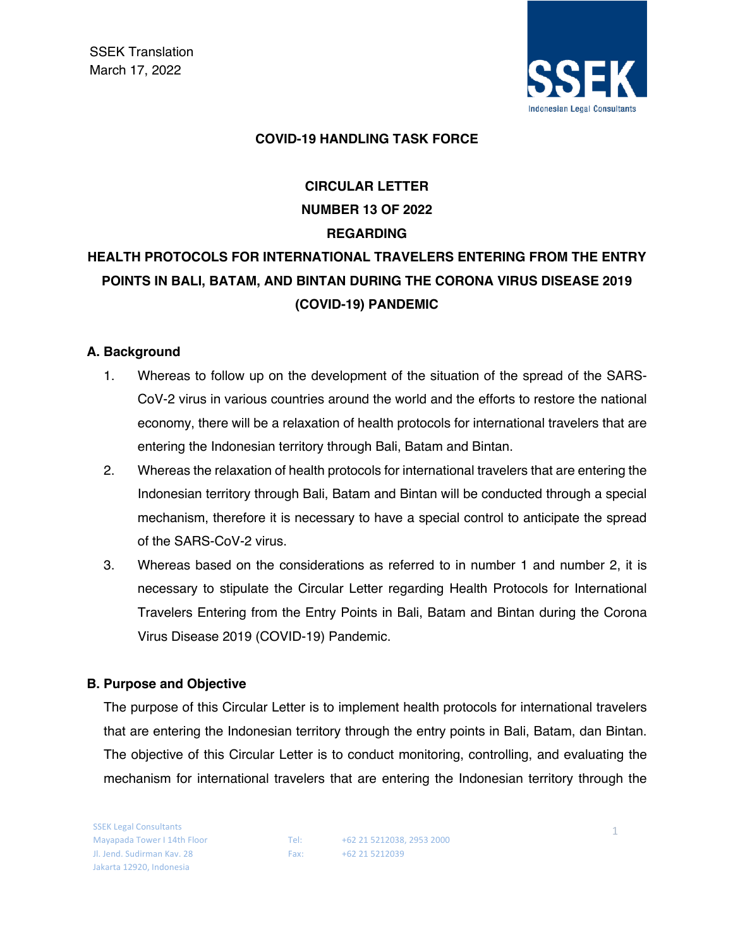

#### **COVID-19 HANDLING TASK FORCE**

# **CIRCULAR LETTER NUMBER 13 OF 2022 REGARDING**

# **HEALTH PROTOCOLS FOR INTERNATIONAL TRAVELERS ENTERING FROM THE ENTRY POINTS IN BALI, BATAM, AND BINTAN DURING THE CORONA VIRUS DISEASE 2019 (COVID-19) PANDEMIC**

#### **A. Background**

- 1. Whereas to follow up on the development of the situation of the spread of the SARS-CoV-2 virus in various countries around the world and the efforts to restore the national economy, there will be a relaxation of health protocols for international travelers that are entering the Indonesian territory through Bali, Batam and Bintan.
- 2. Whereas the relaxation of health protocols for international travelers that are entering the Indonesian territory through Bali, Batam and Bintan will be conducted through a special mechanism, therefore it is necessary to have a special control to anticipate the spread of the SARS-CoV-2 virus.
- 3. Whereas based on the considerations as referred to in number 1 and number 2, it is necessary to stipulate the Circular Letter regarding Health Protocols for International Travelers Entering from the Entry Points in Bali, Batam and Bintan during the Corona Virus Disease 2019 (COVID-19) Pandemic.

#### **B. Purpose and Objective**

The purpose of this Circular Letter is to implement health protocols for international travelers that are entering the Indonesian territory through the entry points in Bali, Batam, dan Bintan. The objective of this Circular Letter is to conduct monitoring, controlling, and evaluating the mechanism for international travelers that are entering the Indonesian territory through the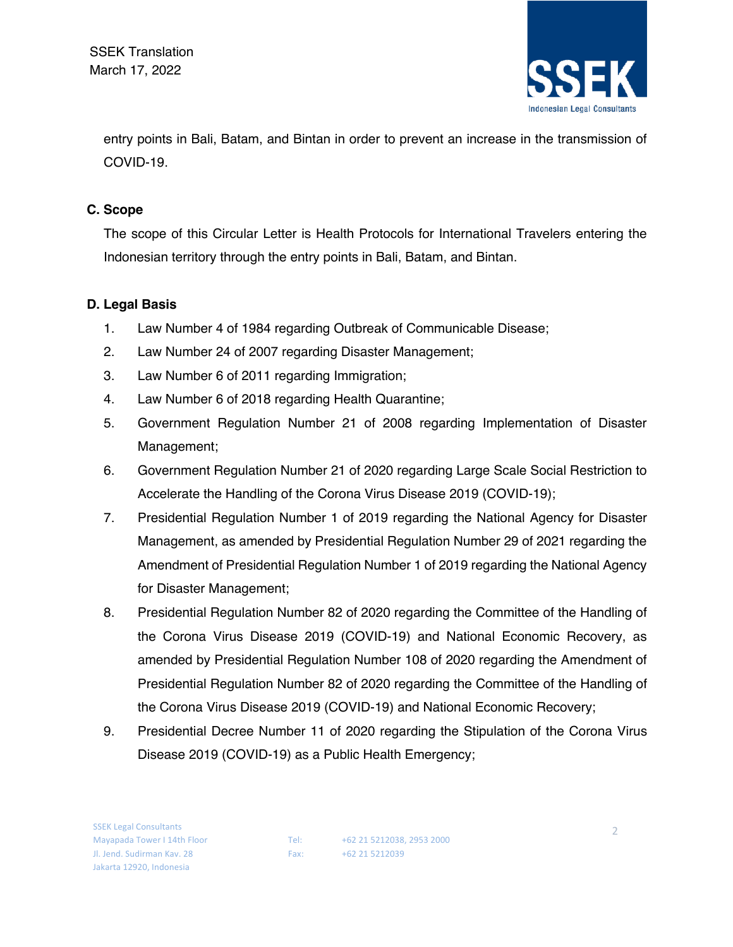

entry points in Bali, Batam, and Bintan in order to prevent an increase in the transmission of COVID-19.

### **C. Scope**

The scope of this Circular Letter is Health Protocols for International Travelers entering the Indonesian territory through the entry points in Bali, Batam, and Bintan.

### **D. Legal Basis**

- 1. Law Number 4 of 1984 regarding Outbreak of Communicable Disease;
- 2. Law Number 24 of 2007 regarding Disaster Management;
- 3. Law Number 6 of 2011 regarding Immigration;
- 4. Law Number 6 of 2018 regarding Health Quarantine;
- 5. Government Regulation Number 21 of 2008 regarding Implementation of Disaster Management;
- 6. Government Regulation Number 21 of 2020 regarding Large Scale Social Restriction to Accelerate the Handling of the Corona Virus Disease 2019 (COVID-19);
- 7. Presidential Regulation Number 1 of 2019 regarding the National Agency for Disaster Management, as amended by Presidential Regulation Number 29 of 2021 regarding the Amendment of Presidential Regulation Number 1 of 2019 regarding the National Agency for Disaster Management;
- 8. Presidential Regulation Number 82 of 2020 regarding the Committee of the Handling of the Corona Virus Disease 2019 (COVID-19) and National Economic Recovery, as amended by Presidential Regulation Number 108 of 2020 regarding the Amendment of Presidential Regulation Number 82 of 2020 regarding the Committee of the Handling of the Corona Virus Disease 2019 (COVID-19) and National Economic Recovery;
- 9. Presidential Decree Number 11 of 2020 regarding the Stipulation of the Corona Virus Disease 2019 (COVID-19) as a Public Health Emergency;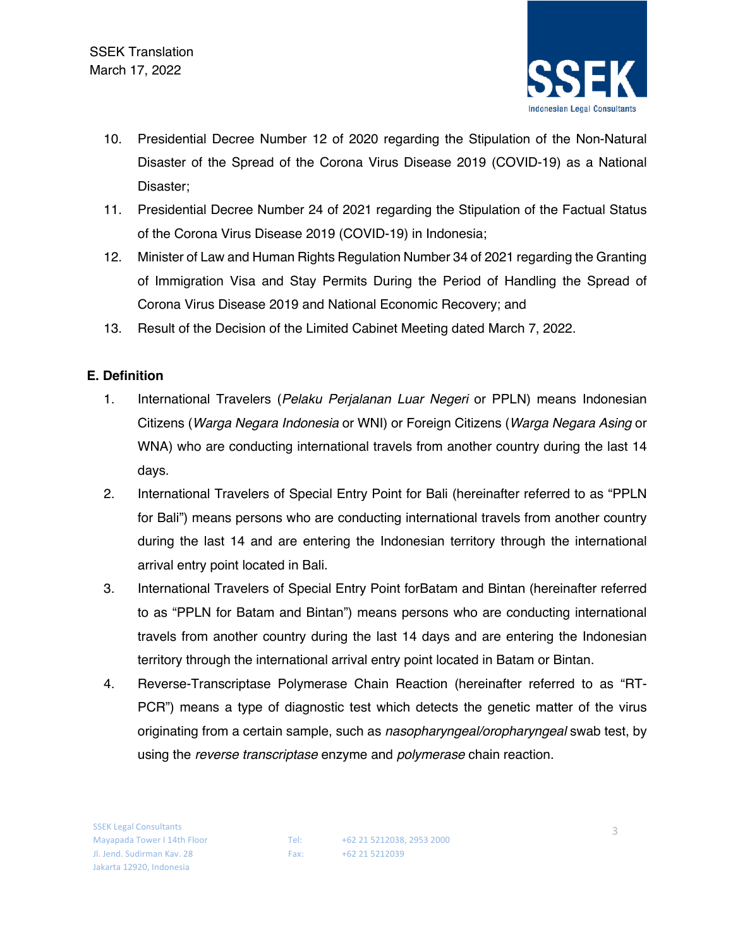

- 10. Presidential Decree Number 12 of 2020 regarding the Stipulation of the Non-Natural Disaster of the Spread of the Corona Virus Disease 2019 (COVID-19) as a National Disaster;
- 11. Presidential Decree Number 24 of 2021 regarding the Stipulation of the Factual Status of the Corona Virus Disease 2019 (COVID-19) in Indonesia;
- 12. Minister of Law and Human Rights Regulation Number 34 of 2021 regarding the Granting of Immigration Visa and Stay Permits During the Period of Handling the Spread of Corona Virus Disease 2019 and National Economic Recovery; and
- 13. Result of the Decision of the Limited Cabinet Meeting dated March 7, 2022.

### **E. Definition**

- 1. International Travelers (*Pelaku Perjalanan Luar Negeri* or PPLN) means Indonesian Citizens (*Warga Negara Indonesia* or WNI) or Foreign Citizens (*Warga Negara Asing* or WNA) who are conducting international travels from another country during the last 14 days.
- 2. International Travelers of Special Entry Point for Bali (hereinafter referred to as "PPLN for Bali") means persons who are conducting international travels from another country during the last 14 and are entering the Indonesian territory through the international arrival entry point located in Bali.
- 3. International Travelers of Special Entry Point forBatam and Bintan (hereinafter referred to as "PPLN for Batam and Bintan") means persons who are conducting international travels from another country during the last 14 days and are entering the Indonesian territory through the international arrival entry point located in Batam or Bintan.
- 4. Reverse-Transcriptase Polymerase Chain Reaction (hereinafter referred to as "RT-PCR") means a type of diagnostic test which detects the genetic matter of the virus originating from a certain sample, such as *nasopharyngeal/oropharyngeal* swab test, by using the *reverse transcriptase* enzyme and *polymerase* chain reaction.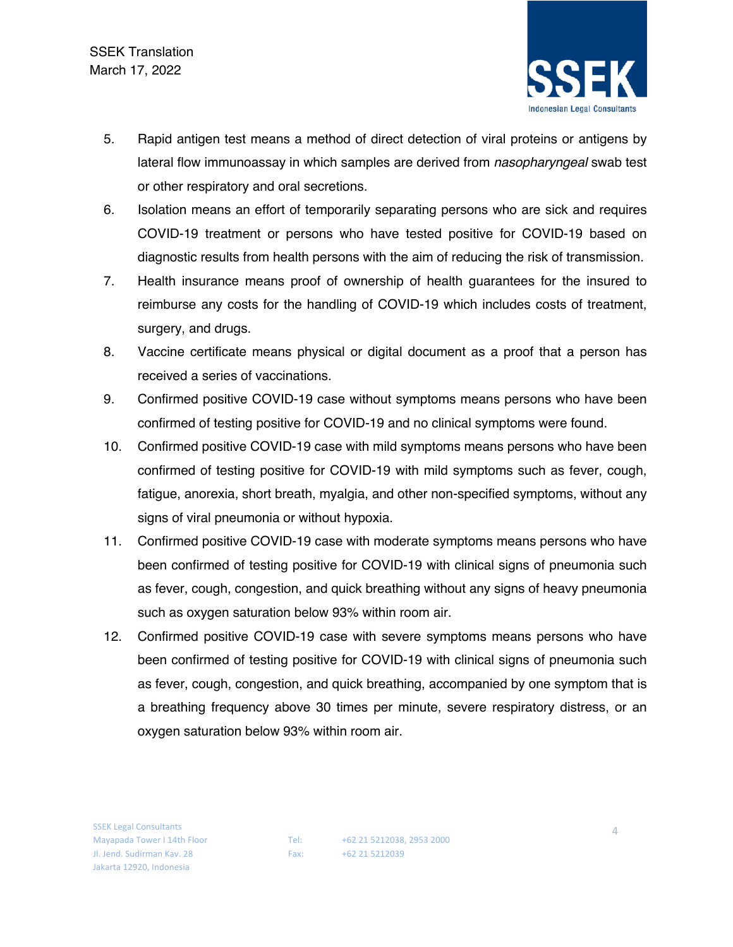

- 5. Rapid antigen test means a method of direct detection of viral proteins or antigens by lateral flow immunoassay in which samples are derived from *nasopharyngeal* swab test or other respiratory and oral secretions.
- 6. Isolation means an effort of temporarily separating persons who are sick and requires COVID-19 treatment or persons who have tested positive for COVID-19 based on diagnostic results from health persons with the aim of reducing the risk of transmission.
- 7. Health insurance means proof of ownership of health guarantees for the insured to reimburse any costs for the handling of COVID-19 which includes costs of treatment, surgery, and drugs.
- 8. Vaccine certificate means physical or digital document as a proof that a person has received a series of vaccinations.
- 9. Confirmed positive COVID-19 case without symptoms means persons who have been confirmed of testing positive for COVID-19 and no clinical symptoms were found.
- 10. Confirmed positive COVID-19 case with mild symptoms means persons who have been confirmed of testing positive for COVID-19 with mild symptoms such as fever, cough, fatigue, anorexia, short breath, myalgia, and other non-specified symptoms, without any signs of viral pneumonia or without hypoxia.
- 11. Confirmed positive COVID-19 case with moderate symptoms means persons who have been confirmed of testing positive for COVID-19 with clinical signs of pneumonia such as fever, cough, congestion, and quick breathing without any signs of heavy pneumonia such as oxygen saturation below 93% within room air.
- 12. Confirmed positive COVID-19 case with severe symptoms means persons who have been confirmed of testing positive for COVID-19 with clinical signs of pneumonia such as fever, cough, congestion, and quick breathing, accompanied by one symptom that is a breathing frequency above 30 times per minute, severe respiratory distress, or an oxygen saturation below 93% within room air.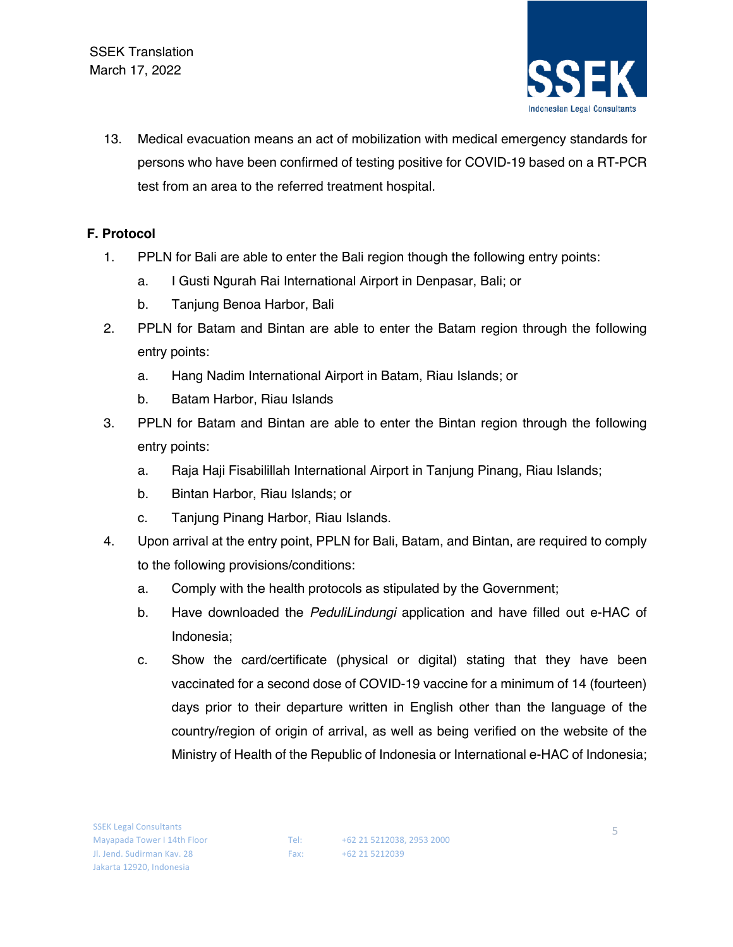

13. Medical evacuation means an act of mobilization with medical emergency standards for persons who have been confirmed of testing positive for COVID-19 based on a RT-PCR test from an area to the referred treatment hospital.

## **F. Protocol**

- 1. PPLN for Bali are able to enter the Bali region though the following entry points:
	- a. I Gusti Ngurah Rai International Airport in Denpasar, Bali; or
	- b. Tanjung Benoa Harbor, Bali
- 2. PPLN for Batam and Bintan are able to enter the Batam region through the following entry points:
	- a. Hang Nadim International Airport in Batam, Riau Islands; or
	- b. Batam Harbor, Riau Islands
- 3. PPLN for Batam and Bintan are able to enter the Bintan region through the following entry points:
	- a. Raja Haji Fisabilillah International Airport in Tanjung Pinang, Riau Islands;
	- b. Bintan Harbor, Riau Islands; or
	- c. Tanjung Pinang Harbor, Riau Islands.
- 4. Upon arrival at the entry point, PPLN for Bali, Batam, and Bintan, are required to comply to the following provisions/conditions:
	- a. Comply with the health protocols as stipulated by the Government;
	- b. Have downloaded the *PeduliLindungi* application and have filled out e-HAC of Indonesia;
	- c. Show the card/certificate (physical or digital) stating that they have been vaccinated for a second dose of COVID-19 vaccine for a minimum of 14 (fourteen) days prior to their departure written in English other than the language of the country/region of origin of arrival, as well as being verified on the website of the Ministry of Health of the Republic of Indonesia or International e-HAC of Indonesia;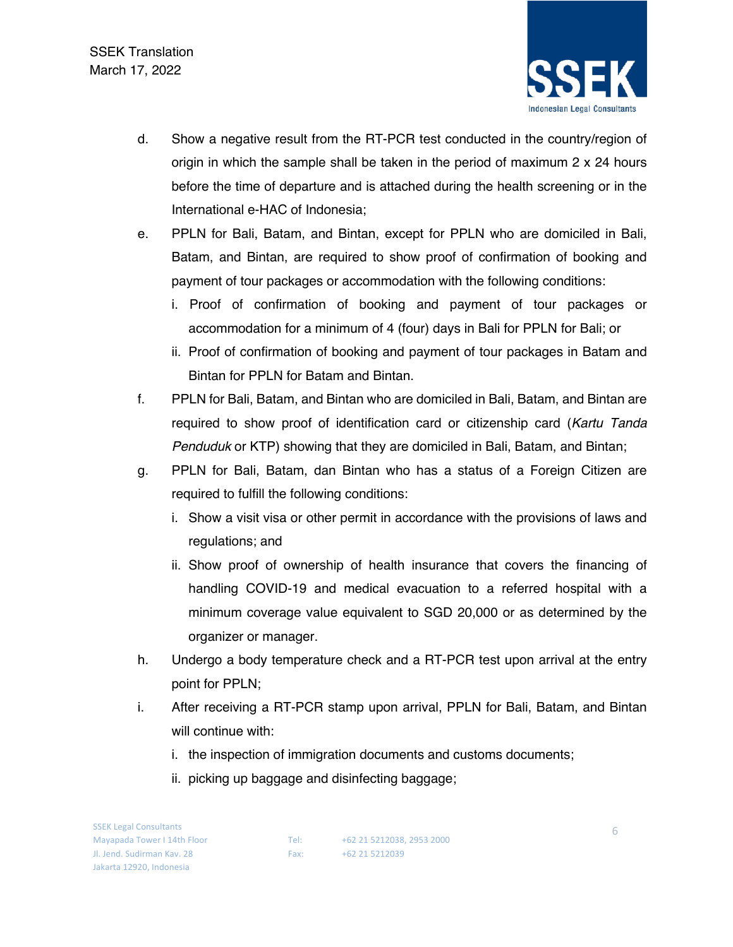

- d. Show a negative result from the RT-PCR test conducted in the country/region of origin in which the sample shall be taken in the period of maximum  $2 \times 24$  hours before the time of departure and is attached during the health screening or in the International e-HAC of Indonesia;
- e. PPLN for Bali, Batam, and Bintan, except for PPLN who are domiciled in Bali, Batam, and Bintan, are required to show proof of confirmation of booking and payment of tour packages or accommodation with the following conditions:
	- i. Proof of confirmation of booking and payment of tour packages or accommodation for a minimum of 4 (four) days in Bali for PPLN for Bali; or
	- ii. Proof of confirmation of booking and payment of tour packages in Batam and Bintan for PPLN for Batam and Bintan.
- f. PPLN for Bali, Batam, and Bintan who are domiciled in Bali, Batam, and Bintan are required to show proof of identification card or citizenship card (*Kartu Tanda Penduduk* or KTP) showing that they are domiciled in Bali, Batam, and Bintan;
- g. PPLN for Bali, Batam, dan Bintan who has a status of a Foreign Citizen are required to fulfill the following conditions:
	- i. Show a visit visa or other permit in accordance with the provisions of laws and regulations; and
	- ii. Show proof of ownership of health insurance that covers the financing of handling COVID-19 and medical evacuation to a referred hospital with a minimum coverage value equivalent to SGD 20,000 or as determined by the organizer or manager.
- h. Undergo a body temperature check and a RT-PCR test upon arrival at the entry point for PPLN;
- i. After receiving a RT-PCR stamp upon arrival, PPLN for Bali, Batam, and Bintan will continue with:
	- i. the inspection of immigration documents and customs documents;
	- ii. picking up baggage and disinfecting baggage;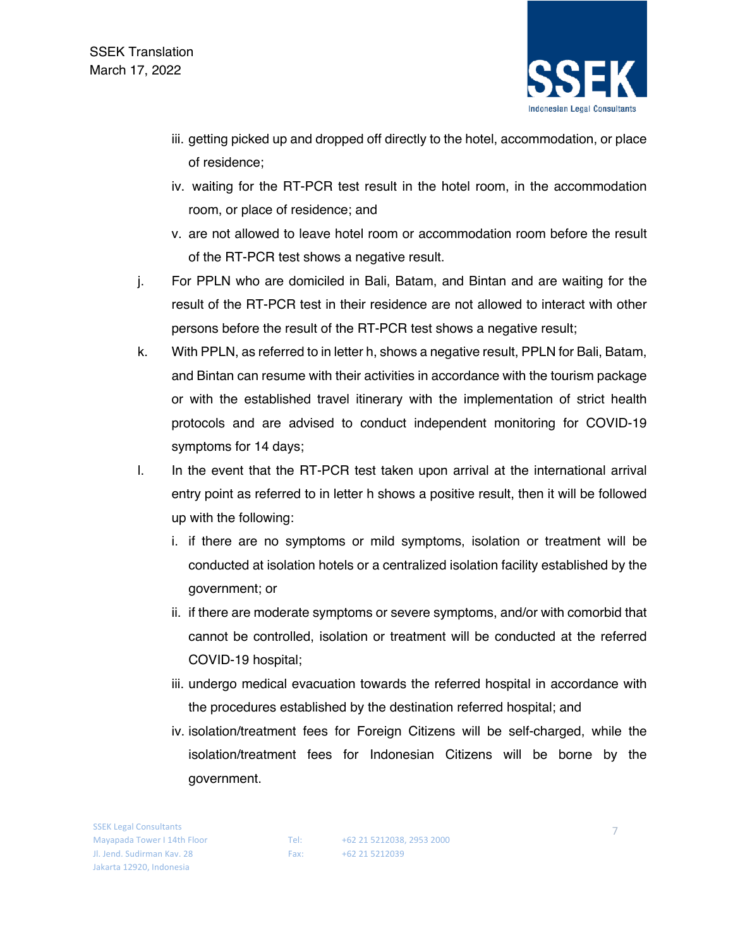

- iii. getting picked up and dropped off directly to the hotel, accommodation, or place of residence;
- iv. waiting for the RT-PCR test result in the hotel room, in the accommodation room, or place of residence; and
- v. are not allowed to leave hotel room or accommodation room before the result of the RT-PCR test shows a negative result.
- j. For PPLN who are domiciled in Bali, Batam, and Bintan and are waiting for the result of the RT-PCR test in their residence are not allowed to interact with other persons before the result of the RT-PCR test shows a negative result;
- k. With PPLN, as referred to in letter h, shows a negative result, PPLN for Bali, Batam, and Bintan can resume with their activities in accordance with the tourism package or with the established travel itinerary with the implementation of strict health protocols and are advised to conduct independent monitoring for COVID-19 symptoms for 14 days;
- l. In the event that the RT-PCR test taken upon arrival at the international arrival entry point as referred to in letter h shows a positive result, then it will be followed up with the following:
	- i. if there are no symptoms or mild symptoms, isolation or treatment will be conducted at isolation hotels or a centralized isolation facility established by the government; or
	- ii. if there are moderate symptoms or severe symptoms, and/or with comorbid that cannot be controlled, isolation or treatment will be conducted at the referred COVID-19 hospital;
	- iii. undergo medical evacuation towards the referred hospital in accordance with the procedures established by the destination referred hospital; and
	- iv. isolation/treatment fees for Foreign Citizens will be self-charged, while the isolation/treatment fees for Indonesian Citizens will be borne by the government.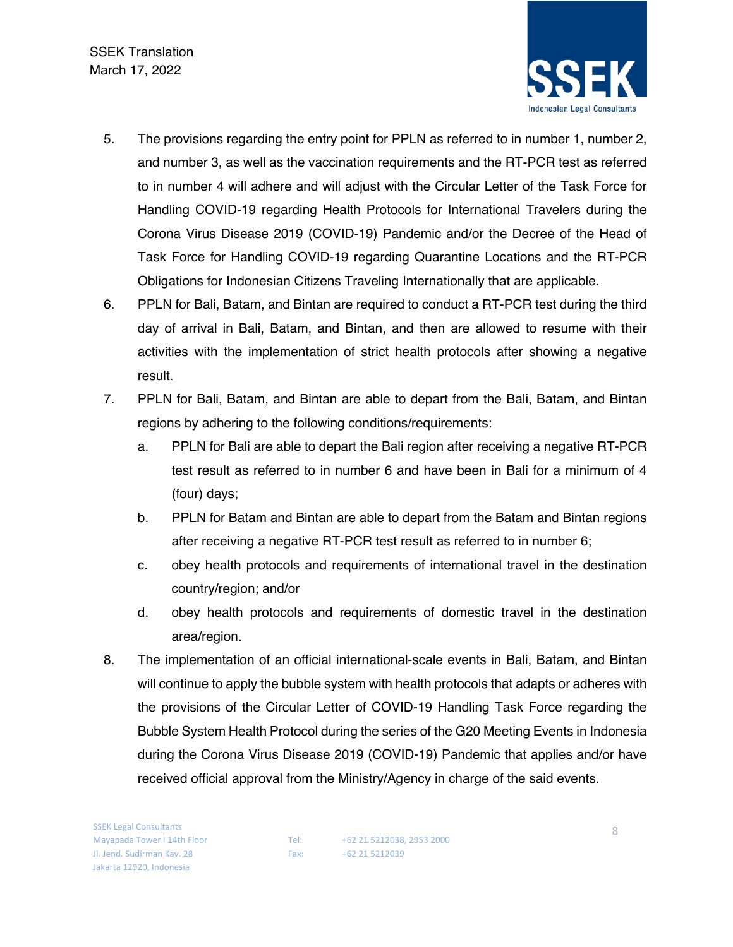**SSEK Translation** March 17, 2022



- 5. The provisions regarding the entry point for PPLN as referred to in number 1, number 2, and number 3, as well as the vaccination requirements and the RT-PCR test as referred to in number 4 will adhere and will adjust with the Circular Letter of the Task Force for Handling COVID-19 regarding Health Protocols for International Travelers during the Corona Virus Disease 2019 (COVID-19) Pandemic and/or the Decree of the Head of Task Force for Handling COVID-19 regarding Quarantine Locations and the RT-PCR Obligations for Indonesian Citizens Traveling Internationally that are applicable.
- 6. PPLN for Bali, Batam, and Bintan are required to conduct a RT-PCR test during the third day of arrival in Bali, Batam, and Bintan, and then are allowed to resume with their activities with the implementation of strict health protocols after showing a negative result.
- 7. PPLN for Bali, Batam, and Bintan are able to depart from the Bali, Batam, and Bintan regions by adhering to the following conditions/requirements:
	- a. PPLN for Bali are able to depart the Bali region after receiving a negative RT-PCR test result as referred to in number 6 and have been in Bali for a minimum of 4 (four) days;
	- b. PPLN for Batam and Bintan are able to depart from the Batam and Bintan regions after receiving a negative RT-PCR test result as referred to in number 6;
	- c. obey health protocols and requirements of international travel in the destination country/region; and/or
	- d. obey health protocols and requirements of domestic travel in the destination area/region.
- 8. The implementation of an official international-scale events in Bali, Batam, and Bintan will continue to apply the bubble system with health protocols that adapts or adheres with the provisions of the Circular Letter of COVID-19 Handling Task Force regarding the Bubble System Health Protocol during the series of the G20 Meeting Events in Indonesia during the Corona Virus Disease 2019 (COVID-19) Pandemic that applies and/or have received official approval from the Ministry/Agency in charge of the said events.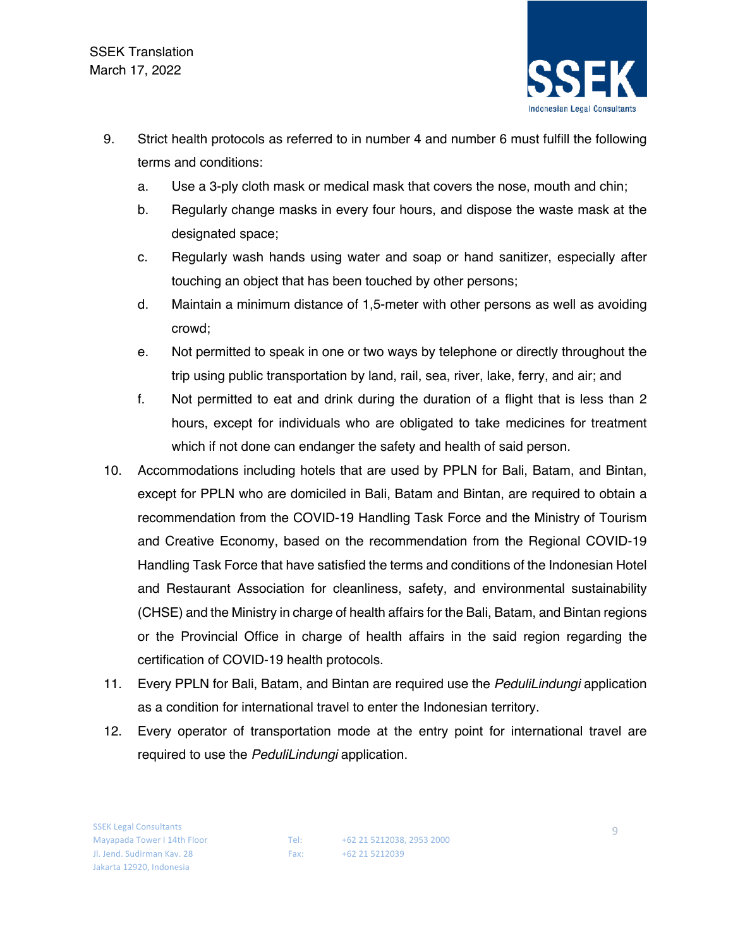

- 9. Strict health protocols as referred to in number 4 and number 6 must fulfill the following terms and conditions:
	- a. Use a 3-ply cloth mask or medical mask that covers the nose, mouth and chin;
	- b. Regularly change masks in every four hours, and dispose the waste mask at the designated space;
	- c. Regularly wash hands using water and soap or hand sanitizer, especially after touching an object that has been touched by other persons;
	- d. Maintain a minimum distance of 1,5-meter with other persons as well as avoiding crowd;
	- e. Not permitted to speak in one or two ways by telephone or directly throughout the trip using public transportation by land, rail, sea, river, lake, ferry, and air; and
	- f. Not permitted to eat and drink during the duration of a flight that is less than 2 hours, except for individuals who are obligated to take medicines for treatment which if not done can endanger the safety and health of said person.
- 10. Accommodations including hotels that are used by PPLN for Bali, Batam, and Bintan, except for PPLN who are domiciled in Bali, Batam and Bintan, are required to obtain a recommendation from the COVID-19 Handling Task Force and the Ministry of Tourism and Creative Economy, based on the recommendation from the Regional COVID-19 Handling Task Force that have satisfied the terms and conditions of the Indonesian Hotel and Restaurant Association for cleanliness, safety, and environmental sustainability (CHSE) and the Ministry in charge of health affairs for the Bali, Batam, and Bintan regions or the Provincial Office in charge of health affairs in the said region regarding the certification of COVID-19 health protocols.
- 11. Every PPLN for Bali, Batam, and Bintan are required use the *PeduliLindungi* application as a condition for international travel to enter the Indonesian territory.
- 12. Every operator of transportation mode at the entry point for international travel are required to use the *PeduliLindungi* application.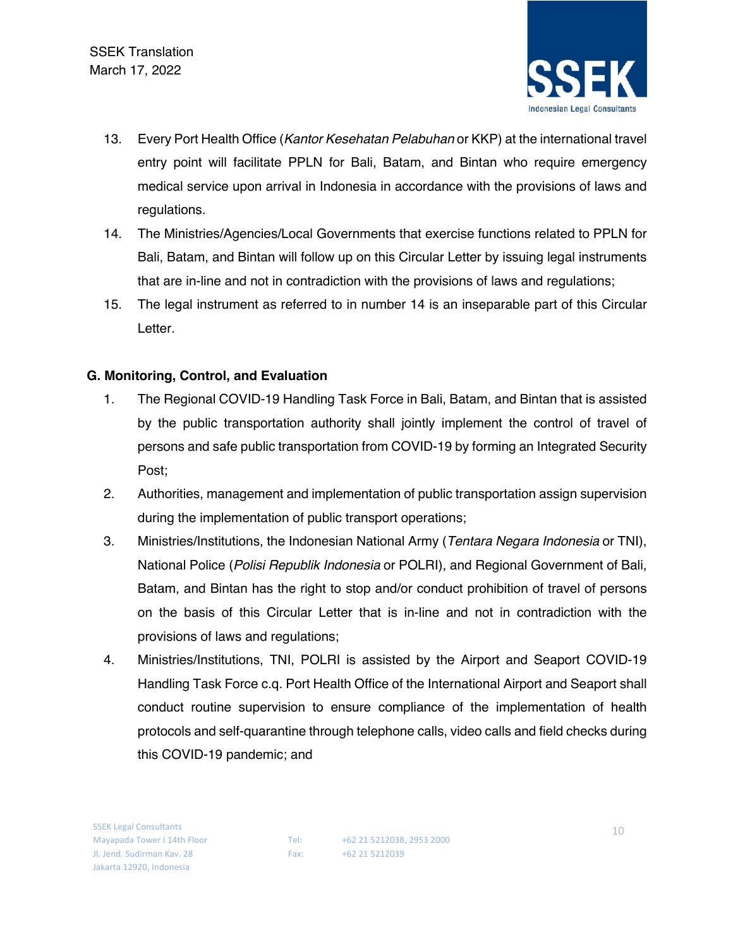

- 13. Every Port Health Office (*Kantor Kesehatan Pelabuhan* or KKP) at the international travel entry point will facilitate PPLN for Bali, Batam, and Bintan who require emergency medical service upon arrival in Indonesia in accordance with the provisions of laws and regulations.
- 14. The Ministries/Agencies/Local Governments that exercise functions related to PPLN for Bali, Batam, and Bintan will follow up on this Circular Letter by issuing legal instruments that are in-line and not in contradiction with the provisions of laws and regulations;
- 15. The legal instrument as referred to in number 14 is an inseparable part of this Circular Letter.

## **G. Monitoring, Control, and Evaluation**

- 1. The Regional COVID-19 Handling Task Force in Bali, Batam, and Bintan that is assisted by the public transportation authority shall jointly implement the control of travel of persons and safe public transportation from COVID-19 by forming an Integrated Security Post;
- 2. Authorities, management and implementation of public transportation assign supervision during the implementation of public transport operations;
- 3. Ministries/Institutions, the Indonesian National Army (*Tentara Negara Indonesia* or TNI), National Police (*Polisi Republik Indonesia* or POLRI), and Regional Government of Bali, Batam, and Bintan has the right to stop and/or conduct prohibition of travel of persons on the basis of this Circular Letter that is in-line and not in contradiction with the provisions of laws and regulations;
- 4. Ministries/Institutions, TNI, POLRI is assisted by the Airport and Seaport COVID-19 Handling Task Force c.q. Port Health Office of the International Airport and Seaport shall conduct routine supervision to ensure compliance of the implementation of health protocols and self-quarantine through telephone calls, video calls and field checks during this COVID-19 pandemic; and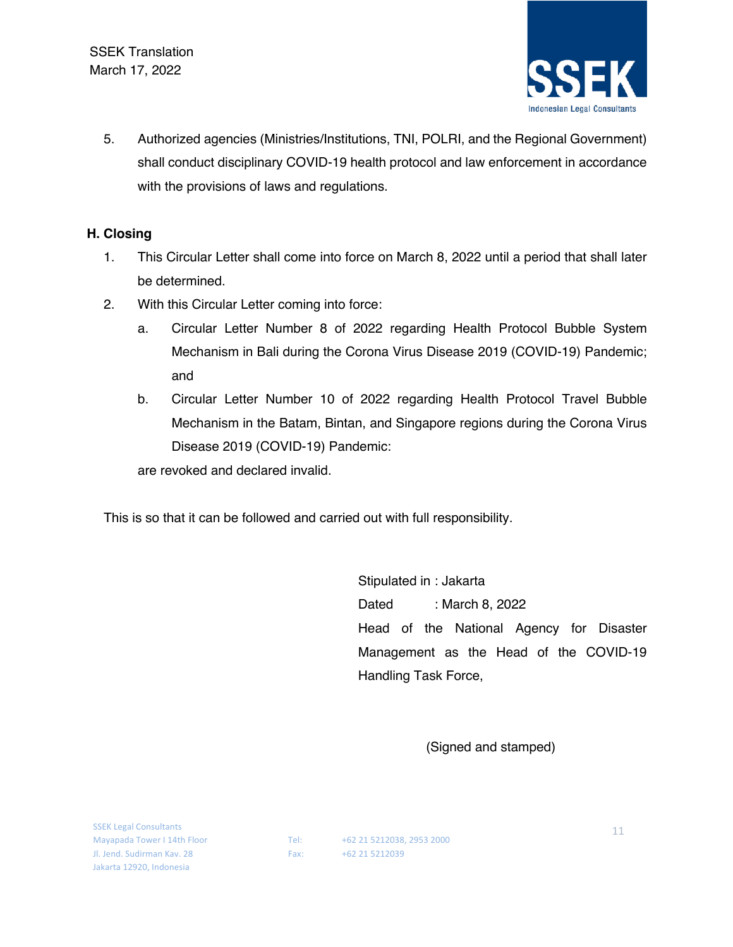

5. Authorized agencies (Ministries/Institutions, TNI, POLRI, and the Regional Government) shall conduct disciplinary COVID-19 health protocol and law enforcement in accordance with the provisions of laws and regulations.

#### **H. Closing**

- 1. This Circular Letter shall come into force on March 8, 2022 until a period that shall later be determined.
- 2. With this Circular Letter coming into force:
	- a. Circular Letter Number 8 of 2022 regarding Health Protocol Bubble System Mechanism in Bali during the Corona Virus Disease 2019 (COVID-19) Pandemic; and
	- b. Circular Letter Number 10 of 2022 regarding Health Protocol Travel Bubble Mechanism in the Batam, Bintan, and Singapore regions during the Corona Virus Disease 2019 (COVID-19) Pandemic:

are revoked and declared invalid.

This is so that it can be followed and carried out with full responsibility.

Stipulated in : Jakarta Dated : March 8, 2022 Head of the National Agency for Disaster Management as the Head of the COVID-19 Handling Task Force,

(Signed and stamped)